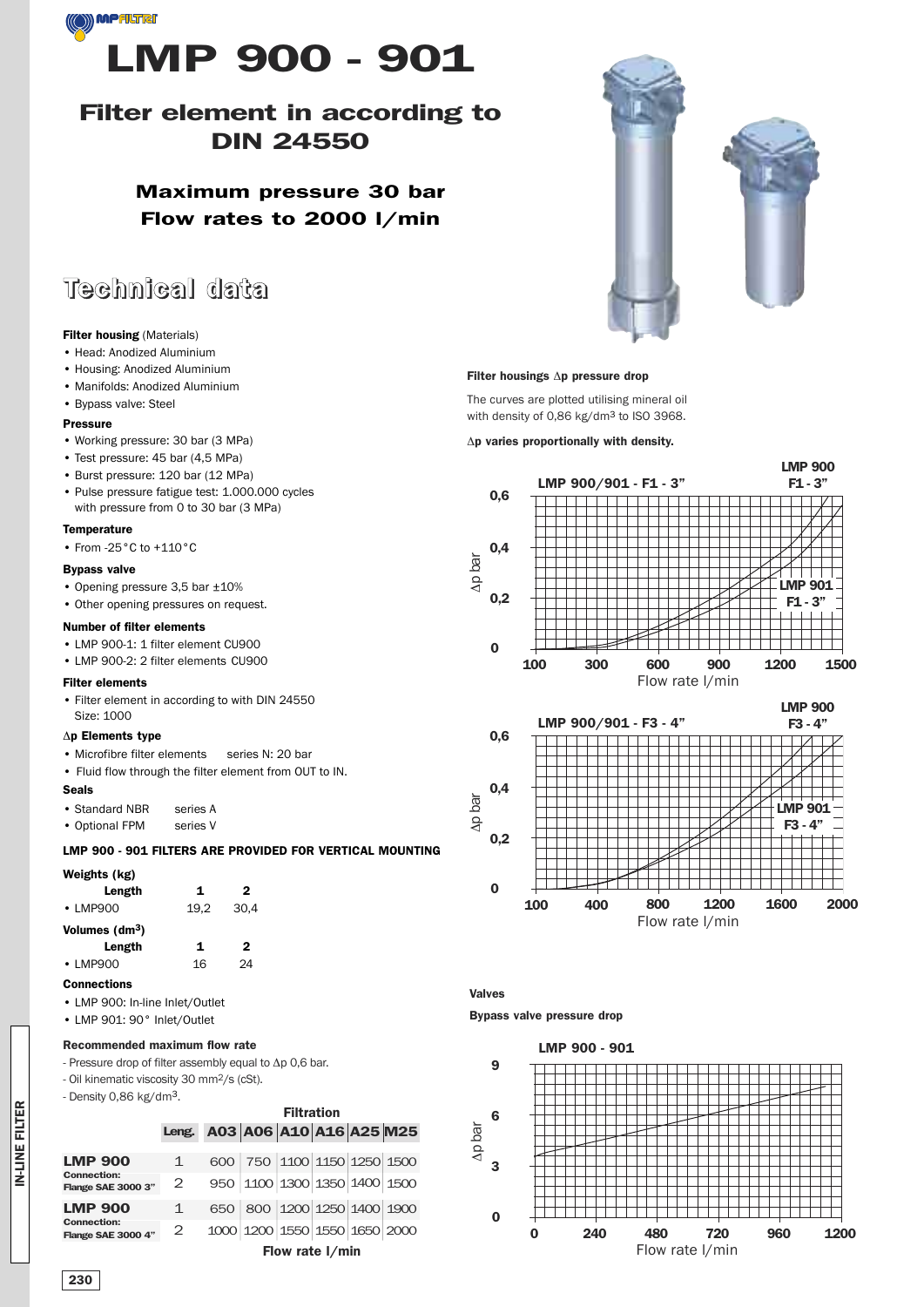

### **Filter element in according to DIN 24550**

**Maximum pressure 30 bar Flow rates to 2000 l/min**

## **Technical data**

### **Filter housing** (Materials)

- Head: Anodized Aluminium
- Housing: Anodized Aluminium
- Manifolds: Anodized Aluminium
- Bypass valve: Steel

#### **Pressure**

- Working pressure: 30 bar (3 MPa)
- Test pressure: 45 bar (4,5 MPa)
- Burst pressure: 120 bar (12 MPa)
- Pulse pressure fatigue test: 1.000.000 cycles with pressure from 0 to 30 bar (3 MPa)

#### **Temperature**

• From -25°C to +110°C

#### **Bypass valve**

- Opening pressure 3,5 bar ±10%
- Other opening pressures on request.

#### **Number of filter elements**

- LMP 900-1: 1 filter element CU900
- LMP 900-2: 2 filter elements CU900

#### **Filter elements**

• Filter element in according to with DIN 24550 Size: 1000

#### Δ**p Elements type**

- Microfibre filter elements series N: 20 bar
- Fluid flow through the filter element from OUT to IN.

#### **Seals**

- Standard NBR series A
- Optional FPM series V

#### **LMP 900 - 901 FILTERS ARE PROVIDED FOR VERTICAL MOUNTING**

| Weights (kg)               |      |              |  |
|----------------------------|------|--------------|--|
| Length                     | 1    | $\mathbf{2}$ |  |
| $\cdot$ LMP900             | 19.2 | 30.4         |  |
| Volumes (dm <sup>3</sup> ) |      |              |  |
| Length                     | 1    | $\mathbf{2}$ |  |
| $\cdot$ LMP900             | 16   | 24           |  |
| Connections                |      |              |  |

- LMP 900: In-line Inlet/Outlet
- LMP 901: 90° Inlet/Outlet

#### **Recommended maximum flow rate**

- Pressure drop of filter assembly equal to Δp 0,6 bar.
- Oil kinematic viscosity 30 mm2/s (cSt).
- Density 0,86 kg/dm3.

|                                          | <b>Filtration</b> |                         |                               |  |  |  |  |  |
|------------------------------------------|-------------------|-------------------------|-------------------------------|--|--|--|--|--|
|                                          | Leng.             | A03 A06 A10 A16 A25 M25 |                               |  |  |  |  |  |
| <b>LMP 900</b>                           | 1                 |                         | 600 750 1100 1150 1250 1500   |  |  |  |  |  |
| <b>Connection:</b><br>Flange SAE 3000 3" | 2                 |                         | 950 1100 1300 1350 1400 1500  |  |  |  |  |  |
| <b>LMP 900</b>                           | 1                 |                         | 650 800 1200 1250 1400 1900   |  |  |  |  |  |
| <b>Connection:</b><br>Flange SAE 3000 4" | 2                 |                         | 1000 1200 1550 1550 1650 2000 |  |  |  |  |  |
|                                          | Flow rate I/min   |                         |                               |  |  |  |  |  |





#### **Filter housings** Δ**p pressure drop**

The curves are plotted utilising mineral oil with density of 0,86 kg/dm3 to ISO 3968.

Δ**p varies proportionally with density.**





**Valves**

**Bypass valve pressure drop**



**IN-LINE FILTER IN-LINE FILTER**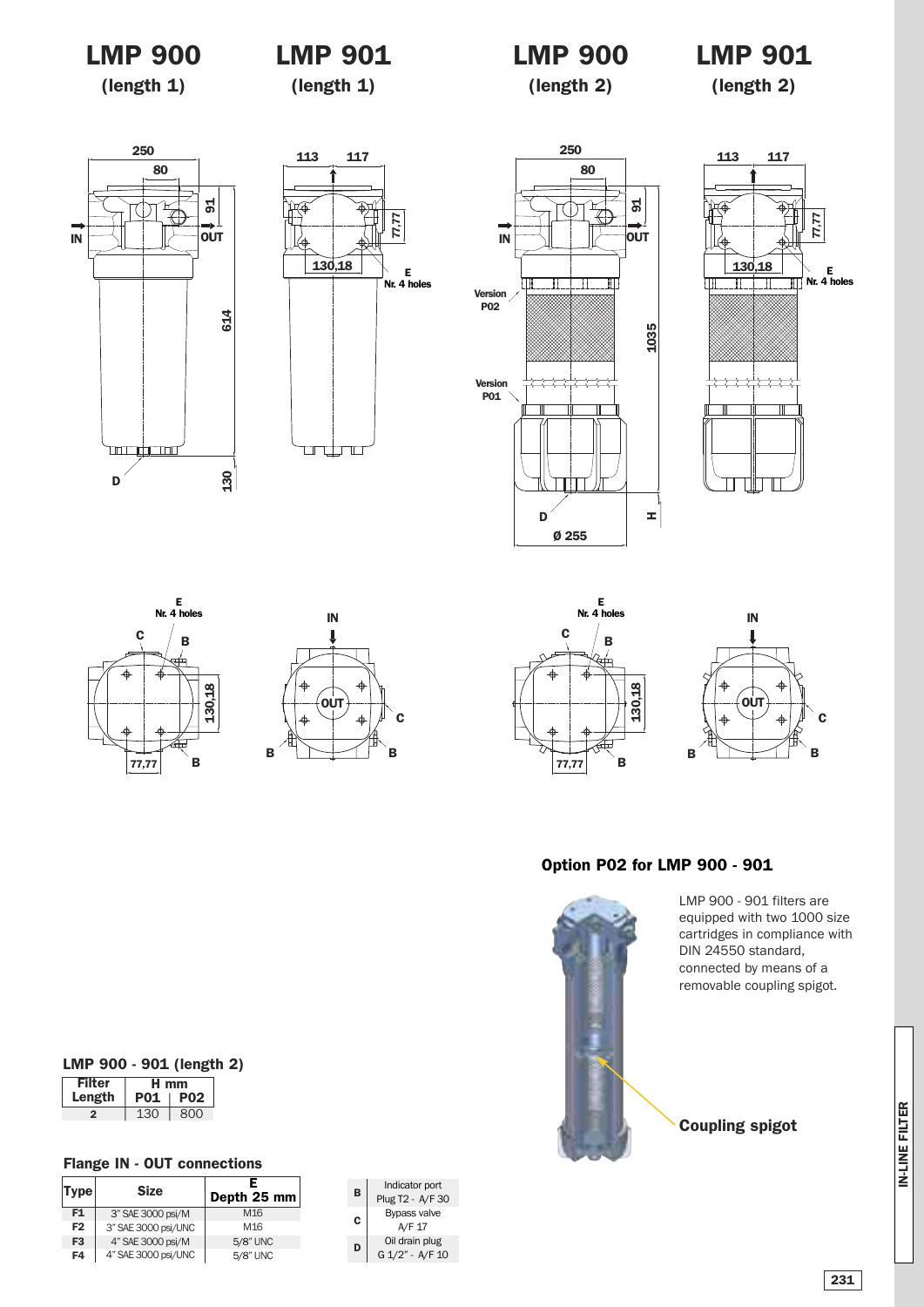### **LMP 900**

### **LMP 901**

# **LMP 900**

## **LMP 901**

**(length 1)**

**(length 1)**

**(length 2)**

**(length 2)**

















### **Option P02 for LMP 900 - 901**



LMP 900 - 901 filters are equipped with two 1000 size cartridges in compliance with DIN 24550 standard, connected by means of a removable coupling spigot.

**Coupling spigot**

### **Filter H mm LMP 900 - 901 (length 2)**

| וטווו  | . .<br>   |                 |  |  |  |  |
|--------|-----------|-----------------|--|--|--|--|
| Length | DI        | PN <sub>2</sub> |  |  |  |  |
|        | 13 $\cap$ | 800             |  |  |  |  |

### **Flange IN - OUT connections**

| Type           | <b>Size</b>         | Е<br>Depth 25 mm |
|----------------|---------------------|------------------|
| F1             | 3" SAE 3000 psi/M   | M <sub>16</sub>  |
| F <sub>2</sub> | 3" SAE 3000 psi/UNC | M <sub>16</sub>  |
| F <sub>3</sub> | 4" SAE 3000 psi/M   | 5/8" UNC         |
| F4             | 4" SAE 3000 psi/UNC | 5/8" UNC         |

| B | Indicator port<br>Plug T2 - A/F 30 |
|---|------------------------------------|
| C | Bypass valve<br>A/F 17             |
| D | Oil drain plug<br>G 1/2" - A/F 10  |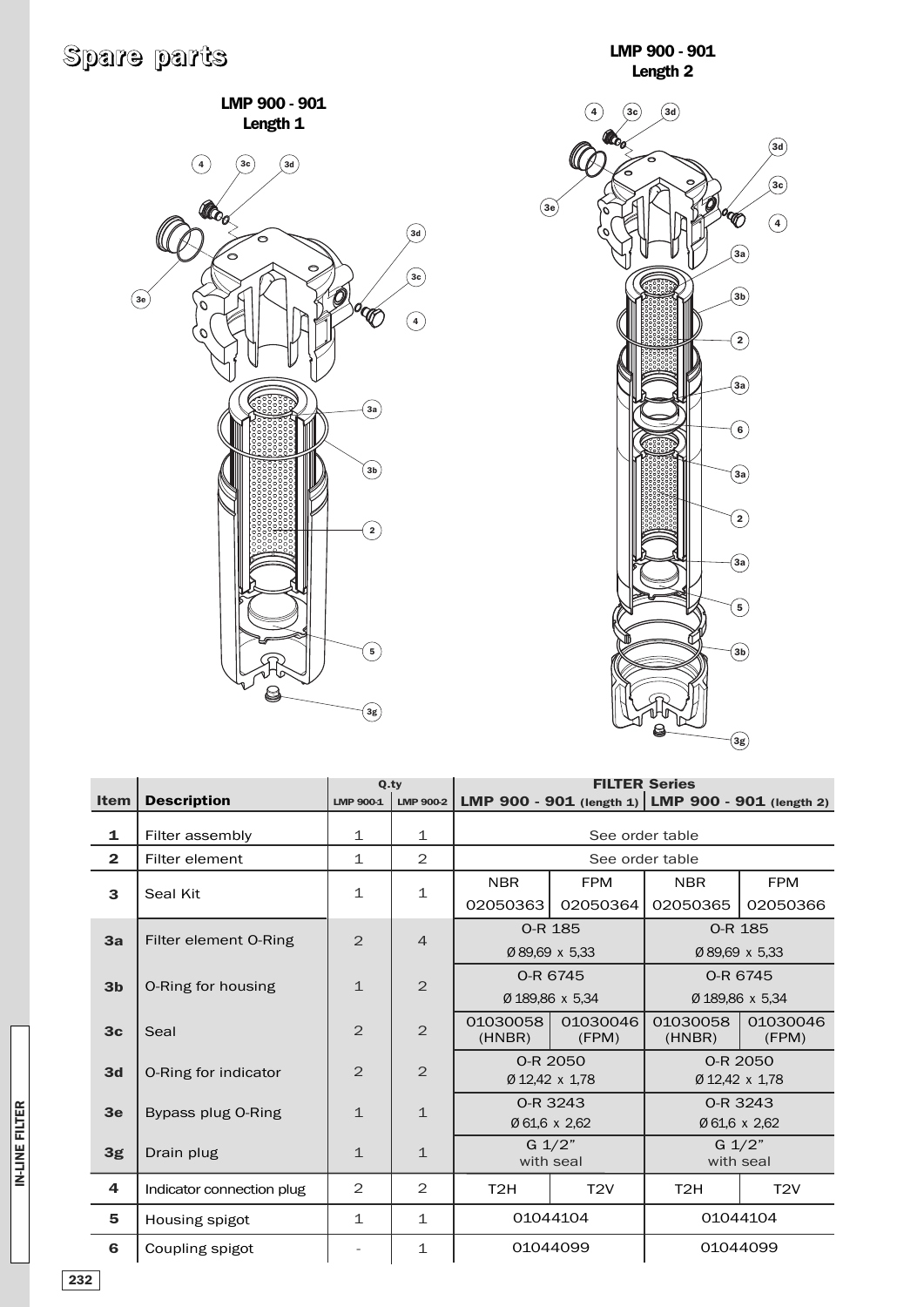# **Spare parts**

**LMP 900 - 901 Length 1**





|                |                           |                  | Q.tv                            | <b>FILTER Series</b><br>LMP 900 - 901 (length 1) LMP 900 - 901 (length 2) |                |                    |                              |  |  |
|----------------|---------------------------|------------------|---------------------------------|---------------------------------------------------------------------------|----------------|--------------------|------------------------------|--|--|
| <b>Item</b>    | <b>Description</b>        | <b>LMP 900-1</b> | LMP 900-2                       |                                                                           |                |                    |                              |  |  |
| 1              | Filter assembly           | 1                | 1                               | See order table                                                           |                |                    |                              |  |  |
| $\overline{2}$ | Filter element            | $\mathbf{1}$     | $\mathbf{2}$                    |                                                                           |                | See order table    |                              |  |  |
| 3              | Seal Kit                  | $\mathbf 1$      | $\mathbf{1}$                    | <b>NBR</b><br><b>FPM</b>                                                  |                | <b>NBR</b>         | <b>FPM</b>                   |  |  |
|                |                           |                  |                                 | 02050363                                                                  | 02050364       | 02050365           | 02050366                     |  |  |
| 3a             | Filter element O-Ring     | $\overline{2}$   | $\overline{4}$                  |                                                                           | 0-R 185        |                    | 0-R 185                      |  |  |
|                |                           |                  |                                 |                                                                           | Ø 89.69 x 5.33 |                    | Ø89.69 x 5.33                |  |  |
| 3 <sub>b</sub> |                           | $\mathbf{1}$     | $\overline{2}$                  | 0-R 6745<br>Ø 189.86 x 5.34                                               |                | O-R 6745           |                              |  |  |
|                | O-Ring for housing        |                  |                                 |                                                                           |                | Ø 189,86 x 5,34    |                              |  |  |
| 3 <sub>c</sub> | Seal                      | $\overline{2}$   | $\overline{2}$                  | 01030058<br>01030046<br>(HNBR)<br>(FPM)                                   |                | 01030058<br>(HNBR) | 01030046<br>(FPM)            |  |  |
| 3d             |                           | $\overline{2}$   | $\overline{2}$                  | 0-R 2050                                                                  |                |                    | 0-R 2050                     |  |  |
|                | O-Ring for indicator      |                  |                                 | Ø 12,42 x 1,78                                                            |                | Ø 12,42 x 1,78     |                              |  |  |
| 3 <sub>e</sub> | Bypass plug O-Ring        | $\mathbf{1}$     | $\mathbf{1}$                    |                                                                           | 0-R 3243       | 0-R 3243           |                              |  |  |
|                |                           |                  |                                 |                                                                           | Ø 61,6 x 2,62  | Ø 61,6 x 2,62      |                              |  |  |
| 3g             | Drain plug                | $\mathbf{1}$     | $G \frac{1}{2}$<br>$\mathbf{1}$ |                                                                           | with seal      |                    | $G \frac{1}{2}$<br>with seal |  |  |
| 4              | Indicator connection plug | 2                | $\mathbf{2}$                    | T <sub>2</sub> H                                                          | T2V            | T <sub>2</sub> H   | T2V                          |  |  |
| 5              | Housing spigot            | $\mathbf{1}$     | $\mathbf{1}$                    | 01044104                                                                  |                | 01044104           |                              |  |  |
| 6              | Coupling spigot           |                  | $\mathbf{1}$                    | 01044099                                                                  |                | 01044099           |                              |  |  |

**232**